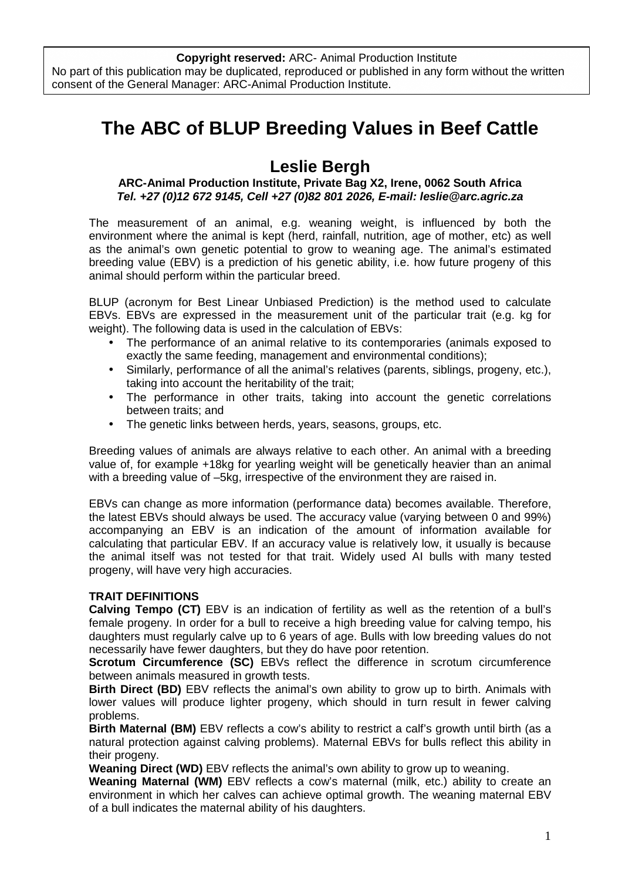## **The ABC of BLUP Breeding Values in Beef Cattle**

## **Leslie Bergh**

## **ARC-Animal Production Institute, Private Bag X2, Irene, 0062 South Africa Tel. +27 (0)12 672 9145, Cell +27 (0)82 801 2026, E-mail: leslie@arc.agric.za**

The measurement of an animal, e.g. weaning weight, is influenced by both the environment where the animal is kept (herd, rainfall, nutrition, age of mother, etc) as well as the animal's own genetic potential to grow to weaning age. The animal's estimated breeding value (EBV) is a prediction of his genetic ability, i.e. how future progeny of this animal should perform within the particular breed.

BLUP (acronym for Best Linear Unbiased Prediction) is the method used to calculate EBVs. EBVs are expressed in the measurement unit of the particular trait (e.g. kg for weight). The following data is used in the calculation of EBVs:

- The performance of an animal relative to its contemporaries (animals exposed to exactly the same feeding, management and environmental conditions);
- Similarly, performance of all the animal's relatives (parents, siblings, progeny, etc.), taking into account the heritability of the trait;
- The performance in other traits, taking into account the genetic correlations between traits; and
- The genetic links between herds, years, seasons, groups, etc.

Breeding values of animals are always relative to each other. An animal with a breeding value of, for example +18kg for yearling weight will be genetically heavier than an animal with a breeding value of –5kg, irrespective of the environment they are raised in.

EBVs can change as more information (performance data) becomes available. Therefore, the latest EBVs should always be used. The accuracy value (varying between 0 and 99%) accompanying an EBV is an indication of the amount of information available for calculating that particular EBV. If an accuracy value is relatively low, it usually is because the animal itself was not tested for that trait. Widely used AI bulls with many tested progeny, will have very high accuracies.

## **TRAIT DEFINITIONS**

**Calving Tempo (CT)** EBV is an indication of fertility as well as the retention of a bull's female progeny. In order for a bull to receive a high breeding value for calving tempo, his daughters must regularly calve up to 6 years of age. Bulls with low breeding values do not necessarily have fewer daughters, but they do have poor retention.

**Scrotum Circumference (SC)** EBVs reflect the difference in scrotum circumference between animals measured in growth tests.

**Birth Direct (BD)** EBV reflects the animal's own ability to grow up to birth. Animals with lower values will produce lighter progeny, which should in turn result in fewer calving problems.

**Birth Maternal (BM)** EBV reflects a cow's ability to restrict a calf's growth until birth (as a natural protection against calving problems). Maternal EBVs for bulls reflect this ability in their progeny.

**Weaning Direct (WD)** EBV reflects the animal's own ability to grow up to weaning.

**Weaning Maternal (WM)** EBV reflects a cow's maternal (milk, etc.) ability to create an environment in which her calves can achieve optimal growth. The weaning maternal EBV of a bull indicates the maternal ability of his daughters.